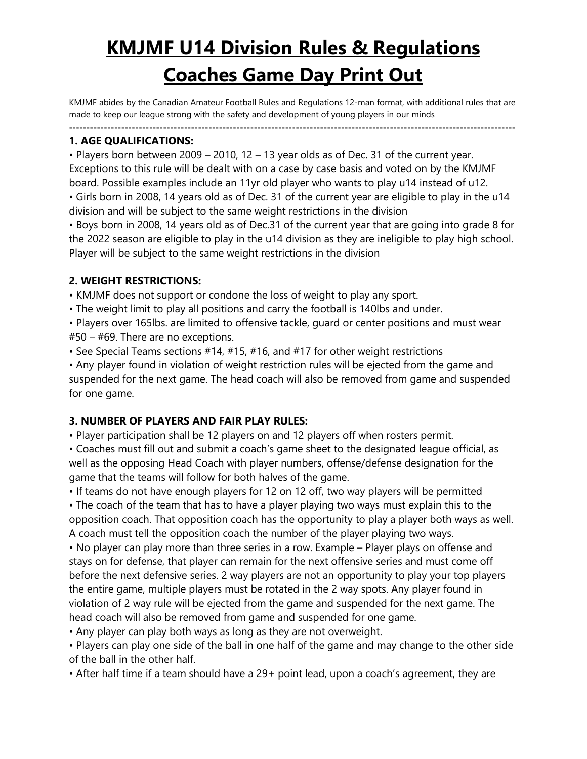# **KMJMF U14 Division Rules & Regulations Coaches Game Day Print Out**

KMJMF abides by the Canadian Amateur Football Rules and Regulations 12-man format, with additional rules that are made to keep our league strong with the safety and development of young players in our minds

**--------------------------------------------------------------------------------------------------------------------------------**

#### **1. AGE QUALIFICATIONS:**

• Players born between 2009 – 2010, 12 – 13 year olds as of Dec. 31 of the current year. Exceptions to this rule will be dealt with on a case by case basis and voted on by the KMJMF board. Possible examples include an 11yr old player who wants to play u14 instead of u12.

• Girls born in 2008, 14 years old as of Dec. 31 of the current year are eligible to play in the u14 division and will be subject to the same weight restrictions in the division

• Boys born in 2008, 14 years old as of Dec.31 of the current year that are going into grade 8 for the 2022 season are eligible to play in the u14 division as they are ineligible to play high school. Player will be subject to the same weight restrictions in the division

#### **2. WEIGHT RESTRICTIONS:**

• KMJMF does not support or condone the loss of weight to play any sport.

• The weight limit to play all positions and carry the football is 140lbs and under.

• Players over 165lbs. are limited to offensive tackle, guard or center positions and must wear #50 – #69. There are no exceptions.

• See Special Teams sections #14, #15, #16, and #17 for other weight restrictions

• Any player found in violation of weight restriction rules will be ejected from the game and suspended for the next game. The head coach will also be removed from game and suspended for one game.

# **3. NUMBER OF PLAYERS AND FAIR PLAY RULES:**

• Player participation shall be 12 players on and 12 players off when rosters permit.

• Coaches must fill out and submit a coach's game sheet to the designated league official, as well as the opposing Head Coach with player numbers, offense/defense designation for the game that the teams will follow for both halves of the game.

• If teams do not have enough players for 12 on 12 off, two way players will be permitted • The coach of the team that has to have a player playing two ways must explain this to the opposition coach. That opposition coach has the opportunity to play a player both ways as well. A coach must tell the opposition coach the number of the player playing two ways.

• No player can play more than three series in a row. Example – Player plays on offense and stays on for defense, that player can remain for the next offensive series and must come off before the next defensive series. 2 way players are not an opportunity to play your top players the entire game, multiple players must be rotated in the 2 way spots. Any player found in violation of 2 way rule will be ejected from the game and suspended for the next game. The head coach will also be removed from game and suspended for one game.

• Any player can play both ways as long as they are not overweight.

• Players can play one side of the ball in one half of the game and may change to the other side of the ball in the other half.

• After half time if a team should have a 29+ point lead, upon a coach's agreement, they are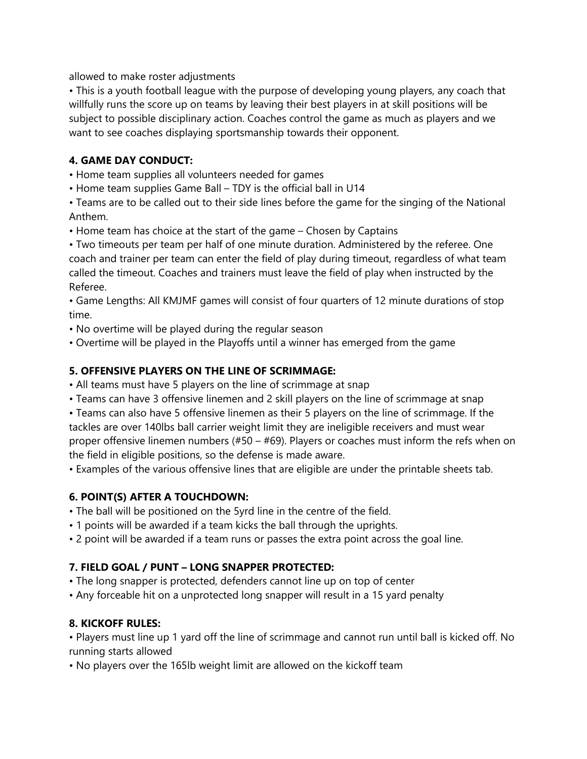allowed to make roster adjustments

• This is a youth football league with the purpose of developing young players, any coach that willfully runs the score up on teams by leaving their best players in at skill positions will be subject to possible disciplinary action. Coaches control the game as much as players and we want to see coaches displaying sportsmanship towards their opponent.

## **4. GAME DAY CONDUCT:**

• Home team supplies all volunteers needed for games

• Home team supplies Game Ball – TDY is the official ball in U14

• Teams are to be called out to their side lines before the game for the singing of the National Anthem.

• Home team has choice at the start of the game – Chosen by Captains

• Two timeouts per team per half of one minute duration. Administered by the referee. One coach and trainer per team can enter the field of play during timeout, regardless of what team called the timeout. Coaches and trainers must leave the field of play when instructed by the Referee.

• Game Lengths: All KMJMF games will consist of four quarters of 12 minute durations of stop time.

• No overtime will be played during the regular season

• Overtime will be played in the Playoffs until a winner has emerged from the game

## **5. OFFENSIVE PLAYERS ON THE LINE OF SCRIMMAGE:**

• All teams must have 5 players on the line of scrimmage at snap

• Teams can have 3 offensive linemen and 2 skill players on the line of scrimmage at snap

• Teams can also have 5 offensive linemen as their 5 players on the line of scrimmage. If the tackles are over 140lbs ball carrier weight limit they are ineligible receivers and must wear proper offensive linemen numbers (#50 – #69). Players or coaches must inform the refs when on the field in eligible positions, so the defense is made aware.

• Examples of the various offensive lines that are eligible are under the printable sheets tab.

# **6. POINT(S) AFTER A TOUCHDOWN:**

• The ball will be positioned on the 5yrd line in the centre of the field.

- 1 points will be awarded if a team kicks the ball through the uprights.
- 2 point will be awarded if a team runs or passes the extra point across the goal line.

# **7. FIELD GOAL / PUNT – LONG SNAPPER PROTECTED:**

• The long snapper is protected, defenders cannot line up on top of center

• Any forceable hit on a unprotected long snapper will result in a 15 yard penalty

# **8. KICKOFF RULES:**

• Players must line up 1 yard off the line of scrimmage and cannot run until ball is kicked off. No running starts allowed

• No players over the 165lb weight limit are allowed on the kickoff team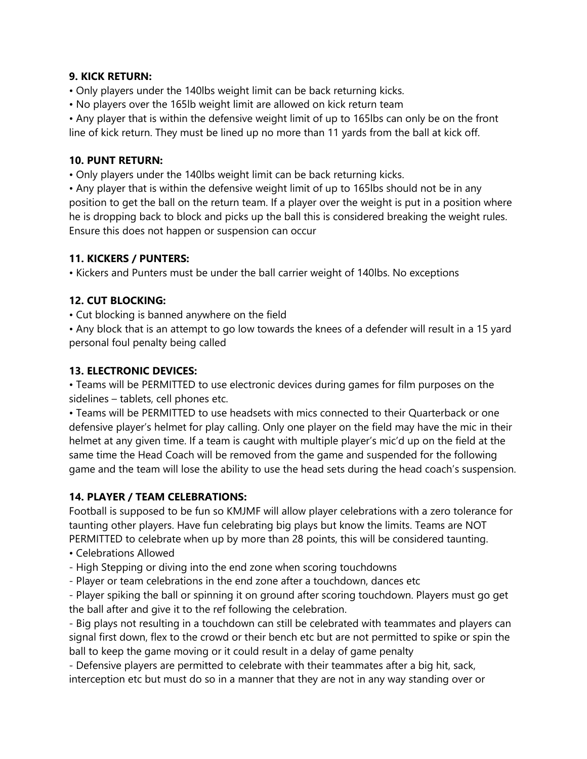#### **9. KICK RETURN:**

- Only players under the 140lbs weight limit can be back returning kicks.
- No players over the 165lb weight limit are allowed on kick return team

• Any player that is within the defensive weight limit of up to 165lbs can only be on the front line of kick return. They must be lined up no more than 11 yards from the ball at kick off.

#### **10. PUNT RETURN:**

• Only players under the 140lbs weight limit can be back returning kicks.

• Any player that is within the defensive weight limit of up to 165lbs should not be in any position to get the ball on the return team. If a player over the weight is put in a position where he is dropping back to block and picks up the ball this is considered breaking the weight rules. Ensure this does not happen or suspension can occur

#### **11. KICKERS / PUNTERS:**

• Kickers and Punters must be under the ball carrier weight of 140lbs. No exceptions

## **12. CUT BLOCKING:**

• Cut blocking is banned anywhere on the field

• Any block that is an attempt to go low towards the knees of a defender will result in a 15 yard personal foul penalty being called

#### **13. ELECTRONIC DEVICES:**

• Teams will be PERMITTED to use electronic devices during games for film purposes on the sidelines – tablets, cell phones etc.

• Teams will be PERMITTED to use headsets with mics connected to their Quarterback or one defensive player's helmet for play calling. Only one player on the field may have the mic in their helmet at any given time. If a team is caught with multiple player's mic'd up on the field at the same time the Head Coach will be removed from the game and suspended for the following game and the team will lose the ability to use the head sets during the head coach's suspension.

#### **14. PLAYER / TEAM CELEBRATIONS:**

Football is supposed to be fun so KMJMF will allow player celebrations with a zero tolerance for taunting other players. Have fun celebrating big plays but know the limits. Teams are NOT PERMITTED to celebrate when up by more than 28 points, this will be considered taunting.

- Celebrations Allowed
- High Stepping or diving into the end zone when scoring touchdowns
- Player or team celebrations in the end zone after a touchdown, dances etc

- Player spiking the ball or spinning it on ground after scoring touchdown. Players must go get the ball after and give it to the ref following the celebration.

- Big plays not resulting in a touchdown can still be celebrated with teammates and players can signal first down, flex to the crowd or their bench etc but are not permitted to spike or spin the ball to keep the game moving or it could result in a delay of game penalty

- Defensive players are permitted to celebrate with their teammates after a big hit, sack, interception etc but must do so in a manner that they are not in any way standing over or